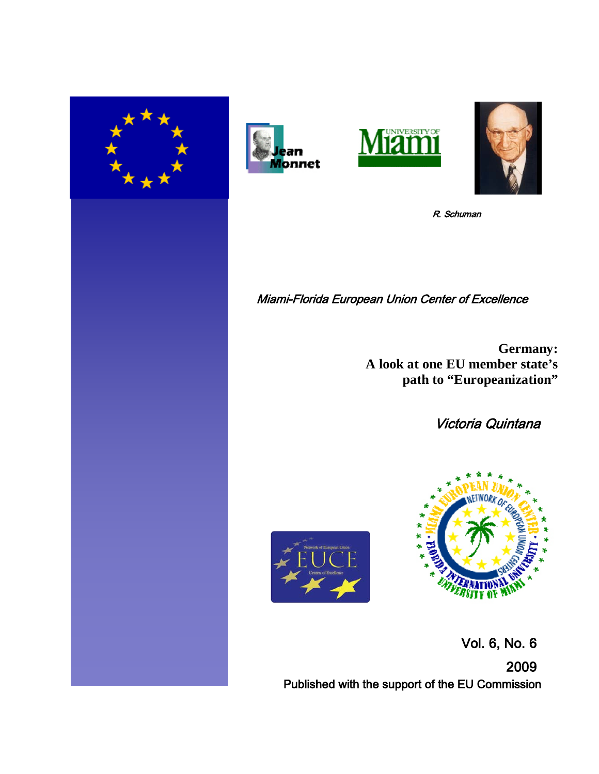







R. Schuman

Miami-Florida European Union Center of Excellence

**Germany: A look at one EU member state's path to "Europeanization"**

Victoria Quintana





 Vol. 6, No. 6 2009 Published with the support of the EU Commission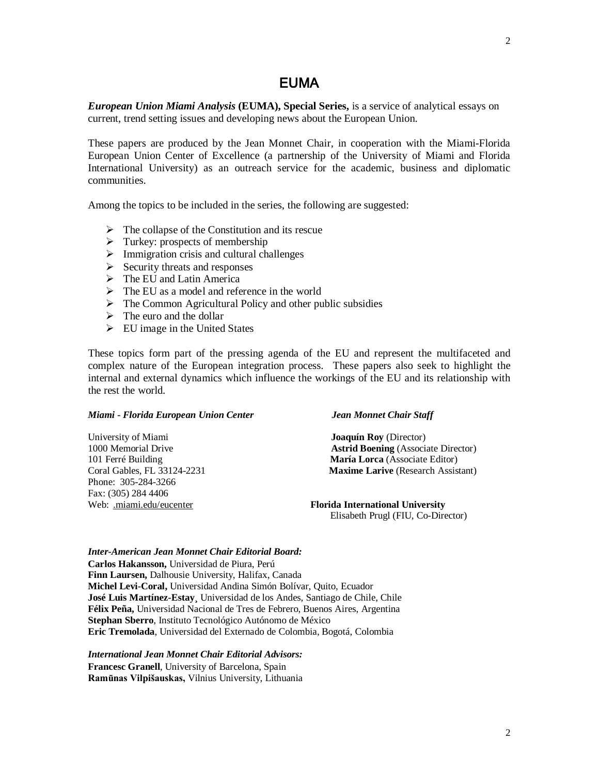## EUMA

*European Union Miami Analysis* **(EUMA), Special Series,** is a service of analytical essays on current, trend setting issues and developing news about the European Union.

These papers are produced by the Jean Monnet Chair, in cooperation with the Miami-Florida European Union Center of Excellence (a partnership of the University of Miami and Florida International University) as an outreach service for the academic, business and diplomatic communities.

Among the topics to be included in the series, the following are suggested:

- $\triangleright$  The collapse of the Constitution and its rescue
- $\triangleright$  Turkey: prospects of membership
- $\triangleright$  Immigration crisis and cultural challenges
- $\triangleright$  Security threats and responses
- $\triangleright$  The EU and Latin America
- $\triangleright$  The EU as a model and reference in the world
- $\triangleright$  The Common Agricultural Policy and other public subsidies
- $\triangleright$  The euro and the dollar
- $\triangleright$  EU image in the United States

These topics form part of the pressing agenda of the EU and represent the multifaceted and complex nature of the European integration process. These papers also seek to highlight the internal and external dynamics which influence the workings of the EU and its relationship with the rest the world.

#### *Miami - Florida European Union Center Jean Monnet Chair Staff*

| University of Miami         | <b>Joaquín Roy</b> (Director)              |
|-----------------------------|--------------------------------------------|
| 1000 Memorial Drive         | <b>Astrid Boening</b> (Associate Director) |
| 101 Ferré Building          | María Lorca (Associate Editor)             |
| Coral Gables, FL 33124-2231 | <b>Maxime Larive</b> (Research Assistant)  |
| Phone: 305-284-3266         |                                            |
| Fax: (305) 284 4406         |                                            |
| Web: .miami.edu/eucenter    | <b>Florida International University</b>    |
|                             | Elisabeth Prugl (FIU, Co-Director)         |

*Inter-American Jean Monnet Chair Editorial Board:*

**Carlos Hakansson,** Universidad de Piura, Perú **Finn Laursen,** Dalhousie University, Halifax, Canada **Michel Levi-Coral,** Universidad Andina Simón Bolívar, Quito, Ecuador **José Luis Martínez-Estay¸** Universidad de los Andes, Santiago de Chile, Chile **Félix Peña,** Universidad Nacional de Tres de Febrero, Buenos Aires, Argentina **Stephan Sberro**, Instituto Tecnológico Autónomo de México **Eric Tremolada**, Universidad del Externado de Colombia, Bogotá, Colombia

#### *International Jean Monnet Chair Editorial Advisors:*

**Francesc Granell**, University of Barcelona, Spain **Ramūnas Vilpišauskas,** Vilnius University, Lithuania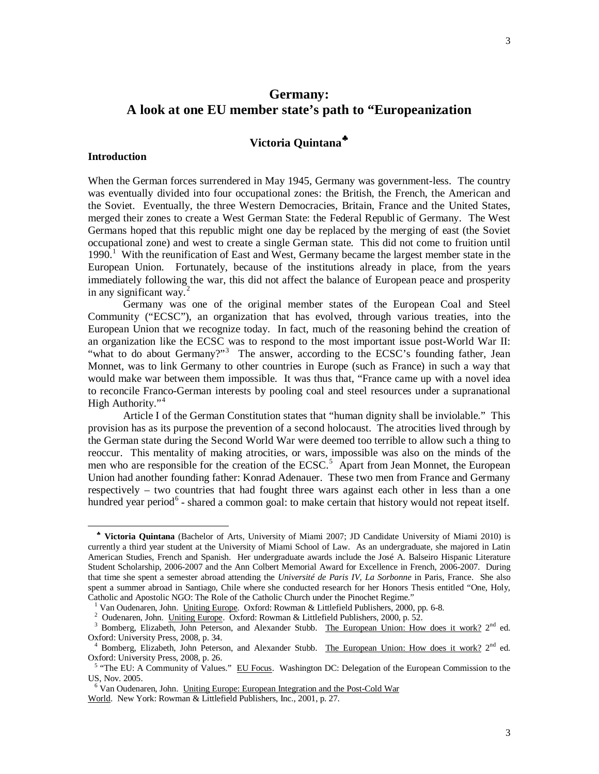# **Victoria Quintana**[♣](#page-2-0)

#### **Introduction**

 $\overline{a}$ 

When the German forces surrendered in May 1945, Germany was government-less. The country was eventually divided into four occupational zones: the British, the French, the American and the Soviet. Eventually, the three Western Democracies, Britain, France and the United States, merged their zones to create a West German State: the Federal Republic of Germany. The West Germans hoped that this republic might one day be replaced by the merging of east (the Soviet occupational zone) and west to create a single German state. This did not come to fruition until [1](#page-2-1)990.<sup>1</sup> With the reunification of East and West, Germany became the largest member state in the European Union. Fortunately, because of the institutions already in place, from the years immediately following the war, this did not affect the balance of European peace and prosperity in any significant way.<sup>[2](#page-2-2)</sup>

Germany was one of the original member states of the European Coal and Steel Community ("ECSC"), an organization that has evolved, through various treaties, into the European Union that we recognize today. In fact, much of the reasoning behind the creation of an organization like the ECSC was to respond to the most important issue post-World War II: "what to do about Germany?"<sup>[3](#page-2-3)</sup> The answer, according to the ECSC's founding father, Jean Monnet, was to link Germany to other countries in Europe (such as France) in such a way that would make war between them impossible. It was thus that, "France came up with a novel idea to reconcile Franco-German interests by pooling coal and steel resources under a supranational High Authority."<sup>[4](#page-2-4)</sup>

Article I of the German Constitution states that "human dignity shall be inviolable." This provision has as its purpose the prevention of a second holocaust. The atrocities lived through by the German state during the Second World War were deemed too terrible to allow such a thing to reoccur. This mentality of making atrocities, or wars, impossible was also on the minds of the men who are responsible for the creation of the  $ECSC$ <sup>[5](#page-2-5)</sup>. Apart from Jean Monnet, the European Union had another founding father: Konrad Adenauer. These two men from France and Germany respectively – two countries that had fought three wars against each other in less than a one hundred year period<sup>[6](#page-2-6)</sup> - shared a common goal: to make certain that history would not repeat itself.

<span id="page-2-0"></span>♣ **Victoria Quintana** (Bachelor of Arts, University of Miami 2007; JD Candidate University of Miami 2010) is currently a third year student at the University of Miami School of Law. As an undergraduate, she majored in Latin American Studies, French and Spanish. Her undergraduate awards include the José A. Balseiro Hispanic Literature Student Scholarship, 2006-2007 and the Ann Colbert Memorial Award for Excellence in French, 2006-2007. During that time she spent a semester abroad attending the *Université de Paris IV, La Sorbonne* in Paris, France. She also spent a summer abroad in Santiago, Chile where she conducted research for her Honors Thesis entitled "One, Holy, Catholic and Apostolic NGO: The Role of the Catholic Church under the Pinochet Regime."

<sup>&</sup>lt;sup>1</sup> Van Oudenaren, John. Uniting Europe. Oxford: Rowman & Littlefield Publishers, 2000, pp. 6-8.

<span id="page-2-1"></span><sup>&</sup>lt;sup>2</sup> Oudenaren, John. Uniting Europe. Oxford: Rowman & Littlefield Publishers, 2000, p. 52.

<span id="page-2-3"></span><span id="page-2-2"></span><sup>&</sup>lt;sup>3</sup> Bomberg, Elizabeth, John Peterson, and Alexander Stubb. The European Union: How does it work? 2<sup>nd</sup> ed. Oxford: University Press, 2008, p. 34.

<span id="page-2-4"></span><sup>&</sup>lt;sup>4</sup> Bomberg, Elizabeth, John Peterson, and Alexander Stubb. The European Union: How does it work?  $2<sup>nd</sup>$  ed. Oxford: University Press, 2008, p. 26.

<span id="page-2-5"></span><sup>&</sup>lt;sup>5</sup> "The EU: A Community of Values." EU Focus. Washington DC: Delegation of the European Commission to the US, Nov. 2005.

<span id="page-2-6"></span><sup>&</sup>lt;sup>6</sup> Van Oudenaren, John. Uniting Europe: European Integration and the Post-Cold War

World. New York: Rowman & Littlefield Publishers, Inc., 2001, p. 27.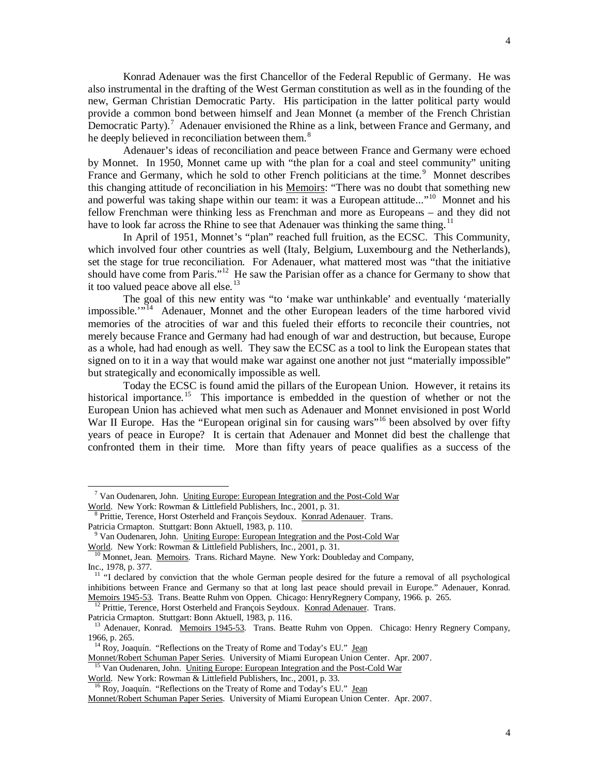Konrad Adenauer was the first Chancellor of the Federal Republic of Germany. He was also instrumental in the drafting of the West German constitution as well as in the founding of the new, German Christian Democratic Party. His participation in the latter political party would provide a common bond between himself and Jean Monnet (a member of the French Christian Democratic Party).<sup>[7](#page-3-0)</sup> Adenauer envisioned the Rhine as a link, between France and Germany, and he deeply believed in reconciliation between them.<sup>[8](#page-3-1)</sup>

Adenauer's ideas of reconciliation and peace between France and Germany were echoed by Monnet. In 1950, Monnet came up with "the plan for a coal and steel community" uniting France and Germany, which he sold to other French politicians at the time.<sup>[9](#page-3-2)</sup> Monnet describes this changing attitude of reconciliation in his Memoirs: "There was no doubt that something new and powerful was taking shape within our team: it was a European attitude..."<sup>[10](#page-3-3)</sup> Monnet and his fellow Frenchman were thinking less as Frenchman and more as Europeans – and they did not have to look far across the Rhine to see that Adenauer was thinking the same thing.<sup>[11](#page-3-4)</sup>

In April of 1951, Monnet's "plan" reached full fruition, as the ECSC. This Community, which involved four other countries as well (Italy, Belgium, Luxembourg and the Netherlands), set the stage for true reconciliation. For Adenauer, what mattered most was "that the initiative should have come from Paris."<sup>12</sup> He saw the Parisian offer as a chance for Germany to show that it too valued peace above all else.<sup>[13](#page-3-6)</sup>

The goal of this new entity was "to 'make war unthinkable' and eventually 'materially impossible."<sup>[14](#page-3-7)</sup> Adenauer, Monnet and the other European leaders of the time harbored vivid memories of the atrocities of war and this fueled their efforts to reconcile their countries, not merely because France and Germany had had enough of war and destruction, but because, Europe as a whole, had had enough as well. They saw the ECSC as a tool to link the European states that signed on to it in a way that would make war against one another not just "materially impossible" but strategically and economically impossible as well.

Today the ECSC is found amid the pillars of the European Union. However, it retains its historical importance.<sup>[15](#page-3-8)</sup> This importance is embedded in the question of whether or not the European Union has achieved what men such as Adenauer and Monnet envisioned in post World War II Europe. Has the "European original sin for causing wars"<sup>[16](#page-3-9)</sup> been absolved by over fifty years of peace in Europe? It is certain that Adenauer and Monnet did best the challenge that confronted them in their time. More than fifty years of peace qualifies as a success of the

<sup>12</sup> Prittie, Terence, Horst Osterheld and François Seydoux. Konrad Adenauer. Trans.

<span id="page-3-5"></span>Patricia Crmapton. Stuttgart: Bonn Aktuell, 1983, p. 116.

 $\overline{a}$ 

<span id="page-3-7"></span>Monnet/Robert Schuman Paper Series. University of Miami European Union Center. Apr. 2007.

<span id="page-3-8"></span>Van Oudenaren, John. Uniting Europe: European Integration and the Post-Cold War World. New York: Rowman & Littlefield Publishers, Inc., 2001, p. 33.

<span id="page-3-0"></span><sup>&</sup>lt;sup>7</sup> Van Oudenaren, John. Uniting Europe: European Integration and the Post-Cold War World. New York: Rowman & Littlefield Publishers, Inc., 2001, p. 31.

<span id="page-3-1"></span>Prittie, Terence, Horst Osterheld and François Seydoux. Konrad Adenauer. Trans. Patricia Crmapton. Stuttgart: Bonn Aktuell, 1983, p. 110.

<span id="page-3-2"></span><sup>&</sup>lt;sup>9</sup> Van Oudenaren, John. Uniting Europe: European Integration and the Post-Cold War

<span id="page-3-3"></span>World. New York: Rowman & Littlefield Publishers, Inc., 2001, p. 31.

<sup>&</sup>lt;sup>10</sup> Monnet, Jean. Memoirs. Trans. Richard Mayne. New York: Doubleday and Company, Inc., 1978, p. 377.

<span id="page-3-4"></span><sup>&</sup>lt;sup>11</sup> "I declared by conviction that the whole German people desired for the future a removal of all psychological inhibitions between France and Germany so that at long last peace should prevail in Europe." Adenauer, Konrad. Memoirs 1945-53. Trans. Beatte Ruhm von Oppen. Chicago: HenryRegnery Company, 1966. p. 265.

<span id="page-3-6"></span><sup>&</sup>lt;sup>13</sup> Adenauer, Konrad. Memoirs 1945-53. Trans. Beatte Ruhm von Oppen. Chicago: Henry Regnery Company, 1966, p. 265.

<sup>&</sup>lt;sup>14</sup> Roy, Joaquín. "Reflections on the Treaty of Rome and Today's EU." Jean

<sup>&</sup>lt;sup>16</sup> Roy, Joaquín. "Reflections on the Treaty of Rome and Today's EU." Jean

<span id="page-3-9"></span>Monnet/Robert Schuman Paper Series. University of Miami European Union Center. Apr. 2007.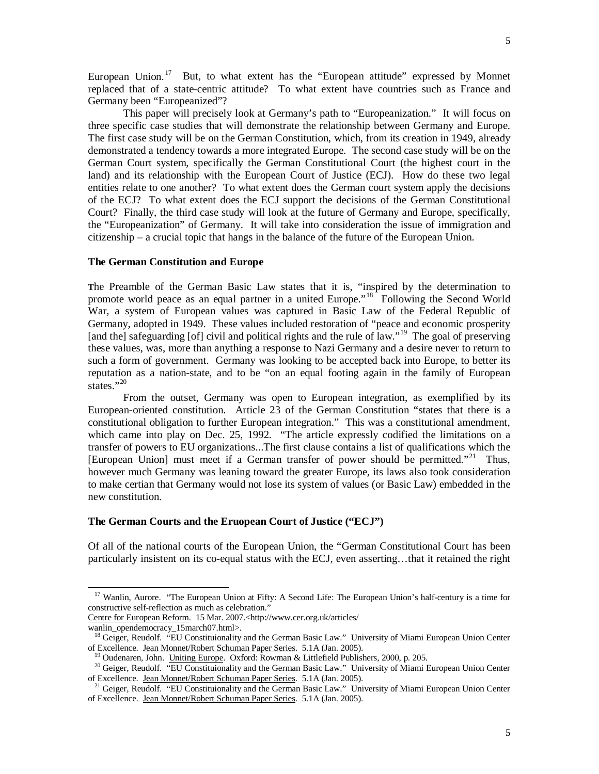European Union.<sup>[17](#page-4-0)</sup> But, to what extent has the "European attitude" expressed by Monnet replaced that of a state-centric attitude? To what extent have countries such as France and Germany been "Europeanized"?

This paper will precisely look at Germany's path to "Europeanization." It will focus on three specific case studies that will demonstrate the relationship between Germany and Europe. The first case study will be on the German Constitution, which, from its creation in 1949, already demonstrated a tendency towards a more integrated Europe. The second case study will be on the German Court system, specifically the German Constitutional Court (the highest court in the land) and its relationship with the European Court of Justice (ECJ). How do these two legal entities relate to one another? To what extent does the German court system apply the decisions of the ECJ? To what extent does the ECJ support the decisions of the German Constitutional Court? Finally, the third case study will look at the future of Germany and Europe, specifically, the "Europeanization" of Germany. It will take into consideration the issue of immigration and citizenship – a crucial topic that hangs in the balance of the future of the European Union.

#### **The German Constitution and Europe**

**T**he Preamble of the German Basic Law states that it is, "inspired by the determination to promote world peace as an equal partner in a united Europe."<sup>[18](#page-4-1)</sup> Following the Second World War, a system of European values was captured in Basic Law of the Federal Republic of Germany, adopted in 1949. These values included restoration of "peace and economic prosperity [and the] safeguarding [of] civil and political rights and the rule of law."<sup>[19](#page-4-2)</sup> The goal of preserving these values, was, more than anything a response to Nazi Germany and a desire never to return to such a form of government. Germany was looking to be accepted back into Europe, to better its reputation as a nation-state, and to be "on an equal footing again in the family of European states."<sup>[20](#page-4-3)</sup>

From the outset, Germany was open to European integration, as exemplified by its European-oriented constitution. Article 23 of the German Constitution "states that there is a constitutional obligation to further European integration." This was a constitutional amendment, which came into play on Dec. 25, 1992. "The article expressly codified the limitations on a transfer of powers to EU organizations...The first clause contains a list of qualifications which the [European Union] must meet if a German transfer of power should be permitted."<sup>[21](#page-4-4)</sup> Thus, however much Germany was leaning toward the greater Europe, its laws also took consideration to make certian that Germany would not lose its system of values (or Basic Law) embedded in the new constitution.

## **The German Courts and the Eruopean Court of Justice ("ECJ")**

Of all of the national courts of the European Union, the "German Constitutional Court has been particularly insistent on its co-equal status with the ECJ, even asserting…that it retained the right

<span id="page-4-1"></span>wanlin\_opendemocracy\_15march07.html>.

<span id="page-4-0"></span><sup>&</sup>lt;sup>17</sup> Wanlin, Aurore. "The European Union at Fifty: A Second Life: The European Union's half-century is a time for constructive self-reflection as much as celebration."

Centre for European Reform. 15 Mar. 2007.<http://www.cer.org.uk/articles/

<sup>&</sup>lt;sup>18</sup> Geiger, Reudolf. "EU Constituionality and the German Basic Law." University of Miami European Union Center of Excellence. Jean Monnet/Robert Schuman Paper Series. 5.1A (Jan. 2005).

<sup>&</sup>lt;sup>19</sup> Oudenaren, John. Uniting Europe. Oxford: Rowman & Littlefield Publishers, 2000, p. 205.

<span id="page-4-3"></span><span id="page-4-2"></span><sup>&</sup>lt;sup>20</sup> Geiger, Reudolf. "EU Constituionality and the German Basic Law." University of Miami European Union Center of Excellence. Jean Monnet/Robert Schuman Paper Series. 5.1A (Jan. 2005).

<span id="page-4-4"></span><sup>&</sup>lt;sup>21</sup> Geiger, Reudolf. "EU Constituionality and the German Basic Law." University of Miami European Union Center of Excellence. Jean Monnet/Robert Schuman Paper Series. 5.1A (Jan. 2005).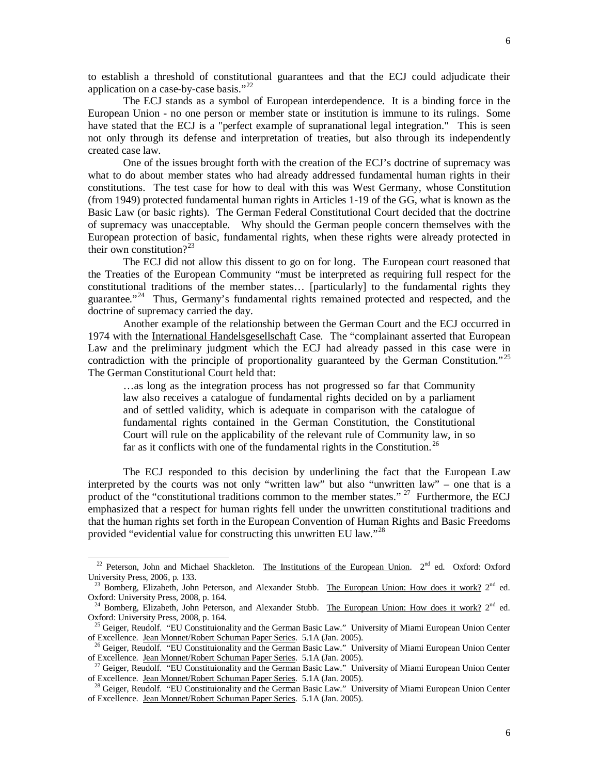to establish a threshold of constitutional guarantees and that the ECJ could adjudicate their application on a case-by-case basis."<sup>[22](#page-5-0)</sup>

The ECJ stands as a symbol of European interdependence. It is a binding force in the European Union - no one person or member state or institution is immune to its rulings. Some have stated that the ECJ is a "perfect example of supranational legal integration." This is seen not only through its defense and interpretation of treaties, but also through its independently created case law.

One of the issues brought forth with the creation of the ECJ's doctrine of supremacy was what to do about member states who had already addressed fundamental human rights in their constitutions. The test case for how to deal with this was West Germany, whose Constitution (from 1949) protected fundamental human rights in Articles 1-19 of the GG, what is known as the Basic Law (or basic rights). The German Federal Constitutional Court decided that the doctrine of supremacy was unacceptable. Why should the German people concern themselves with the European protection of basic, fundamental rights, when these rights were already protected in their own constitution? $2^{23}$  $2^{23}$  $2^{23}$ 

The ECJ did not allow this dissent to go on for long. The European court reasoned that the Treaties of the European Community "must be interpreted as requiring full respect for the constitutional traditions of the member states… [particularly] to the fundamental rights they guarantee."<sup>[24](#page-5-2)</sup> Thus, Germany's fundamental rights remained protected and respected, and the doctrine of supremacy carried the day.

Another example of the relationship between the German Court and the ECJ occurred in 1974 with the International Handelsgesellschaft Case. The "complainant asserted that European Law and the preliminary judgment which the ECJ had already passed in this case were in contradiction with the principle of proportionality guaranteed by the German Constitution."<sup>[25](#page-5-3)</sup> The German Constitutional Court held that:

…as long as the integration process has not progressed so far that Community law also receives a catalogue of fundamental rights decided on by a parliament and of settled validity, which is adequate in comparison with the catalogue of fundamental rights contained in the German Constitution, the Constitutional Court will rule on the applicability of the relevant rule of Community law, in so far as it conflicts with one of the fundamental rights in the Constitution.<sup>[26](#page-5-4)</sup>

The ECJ responded to this decision by underlining the fact that the European Law interpreted by the courts was not only "written law" but also "unwritten law" – one that is a product of the "constitutional traditions common to the member states." <sup>27</sup> Furthermore, the ECJ emphasized that a respect for human rights fell under the unwritten constitutional traditions and that the human rights set forth in the European Convention of Human Rights and Basic Freedoms provided "evidential value for constructing this unwritten EU law."<sup>[28](#page-5-6)</sup>

<span id="page-5-0"></span><sup>&</sup>lt;sup>22</sup> Peterson, John and Michael Shackleton. The Institutions of the European Union. 2<sup>nd</sup> ed. Oxford: Oxford University Press, 2006, p. 133.

<span id="page-5-1"></span><sup>&</sup>lt;sup>23</sup> Bomberg, Elizabeth, John Peterson, and Alexander Stubb. The European Union: How does it work?  $2<sup>nd</sup>$  ed. Oxford: University Press, 2008, p. 164.

<span id="page-5-2"></span><sup>&</sup>lt;sup>24</sup> Bomberg, Elizabeth, John Peterson, and Alexander Stubb. The European Union: How does it work? 2<sup>nd</sup> ed. Oxford: University Press, 2008, p. 164.

<span id="page-5-3"></span><sup>&</sup>lt;sup>25</sup> Geiger, Reudolf. "EU Constituionality and the German Basic Law." University of Miami European Union Center of Excellence. Jean Monnet/Robert Schuman Paper Series. 5.1A (Jan. 2005).

<span id="page-5-4"></span><sup>&</sup>lt;sup>26</sup> Geiger, Reudolf. "EU Constituionality and the German Basic Law." University of Miami European Union Center of Excellence. Jean Monnet/Robert Schuman Paper Series. 5.1A (Jan. 2005).

<span id="page-5-5"></span><sup>&</sup>lt;sup>27</sup> Geiger, Reudolf. "EU Constituionality and the German Basic Law." University of Miami European Union Center of Excellence. Jean Monnet/Robert Schuman Paper Series. 5.1A (Jan. 2005).

<span id="page-5-6"></span><sup>&</sup>lt;sup>28</sup> Geiger, Reudolf. "EU Constituionality and the German Basic Law." University of Miami European Union Center of Excellence. Jean Monnet/Robert Schuman Paper Series. 5.1A (Jan. 2005).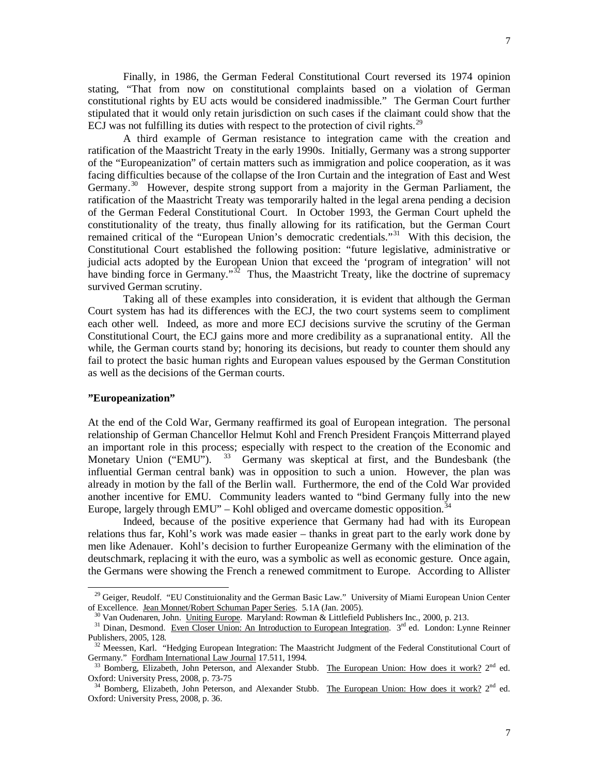Finally, in 1986, the German Federal Constitutional Court reversed its 1974 opinion stating, "That from now on constitutional complaints based on a violation of German constitutional rights by EU acts would be considered inadmissible." The German Court further stipulated that it would only retain jurisdiction on such cases if the claimant could show that the ECJ was not fulfilling its duties with respect to the protection of civil rights.<sup>[29](#page-6-0)</sup>

A third example of German resistance to integration came with the creation and ratification of the Maastricht Treaty in the early 1990s. Initially, Germany was a strong supporter of the "Europeanization" of certain matters such as immigration and police cooperation, as it was facing difficulties because of the collapse of the Iron Curtain and the integration of East and West Germany.<sup>30</sup> However, despite strong support from a majority in the German Parliament, the ratification of the Maastricht Treaty was temporarily halted in the legal arena pending a decision of the German Federal Constitutional Court. In October 1993, the German Court upheld the constitutionality of the treaty, thus finally allowing for its ratification, but the German Court remained critical of the "European Union's democratic credentials."<sup>31</sup> With this decision, the Constitutional Court established the following position: "future legislative, administrative or judicial acts adopted by the European Union that exceed the 'program of integration' will not have binding force in Germany."<sup>[32](#page-6-3)</sup> Thus, the Maastricht Treaty, like the doctrine of supremacy survived German scrutiny.

Taking all of these examples into consideration, it is evident that although the German Court system has had its differences with the ECJ, the two court systems seem to compliment each other well. Indeed, as more and more ECJ decisions survive the scrutiny of the German Constitutional Court, the ECJ gains more and more credibility as a supranational entity. All the while, the German courts stand by; honoring its decisions, but ready to counter them should any fail to protect the basic human rights and European values espoused by the German Constitution as well as the decisions of the German courts.

## **"Europeanization"**

 $\overline{a}$ 

At the end of the Cold War, Germany reaffirmed its goal of European integration. The personal relationship of German Chancellor Helmut Kohl and French President François Mitterrand played an important role in this process; especially with respect to the creation of the Economic and Monetary Union ("EMU").  $33$  Germany was skeptical at first, and the Bundesbank (the influential German central bank) was in opposition to such a union. However, the plan was already in motion by the fall of the Berlin wall. Furthermore, the end of the Cold War provided another incentive for EMU. Community leaders wanted to "bind Germany fully into the new Europe, largely through EMU" – Kohl obliged and overcame domestic opposition.<sup>[34](#page-6-5)</sup>

Indeed, because of the positive experience that Germany had had with its European relations thus far, Kohl's work was made easier – thanks in great part to the early work done by men like Adenauer. Kohl's decision to further Europeanize Germany with the elimination of the deutschmark, replacing it with the euro, was a symbolic as well as economic gesture. Once again, the Germans were showing the French a renewed commitment to Europe. According to Allister

<span id="page-6-0"></span><sup>&</sup>lt;sup>29</sup> Geiger, Reudolf. "EU Constituionality and the German Basic Law." University of Miami European Union Center of Excellence. Jean Monnet/Robert Schuman Paper Series. 5.1A (Jan. 2005).

<sup>&</sup>lt;sup>30</sup> Van Oudenaren, John. Uniting Europe. Maryland: Rowman & Littlefield Publishers Inc., 2000, p. 213.

<span id="page-6-2"></span><span id="page-6-1"></span><sup>&</sup>lt;sup>31</sup> Dinan, Desmond. Even Closer Union: An Introduction to European Integration. 3<sup>rd</sup> ed. London: Lynne Reinner Publishers, 2005, 128.

<span id="page-6-3"></span><sup>&</sup>lt;sup>32</sup> Meessen, Karl. "Hedging European Integration: The Maastricht Judgment of the Federal Constitutional Court of Germany." Fordham International Law Journal 17.511, 1994.

<span id="page-6-4"></span>Bomberg, Elizabeth, John Peterson, and Alexander Stubb. The European Union: How does it work? 2<sup>nd</sup> ed. Oxford: University Press, 2008, p. 73-75

<span id="page-6-5"></span> $34$  Bomberg, Elizabeth, John Peterson, and Alexander Stubb. The European Union: How does it work?  $2^{nd}$  ed. Oxford: University Press, 2008, p. 36.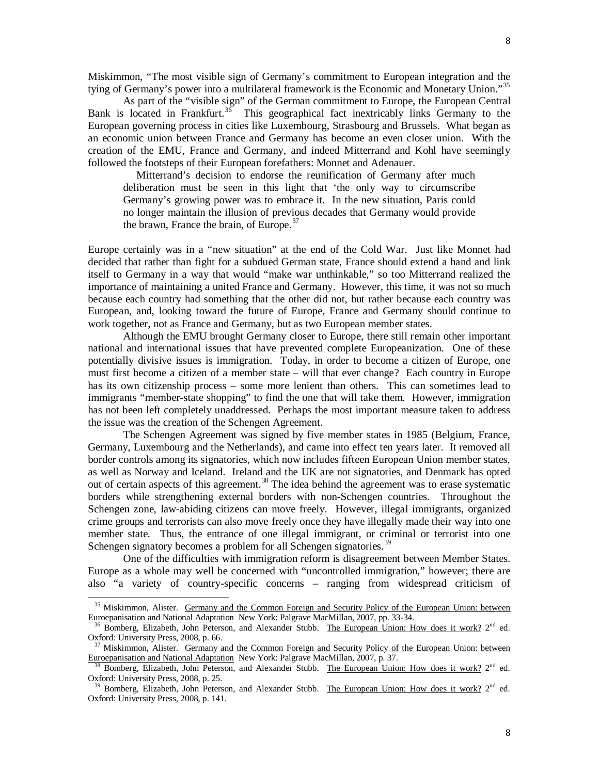tying of Germany's power into a multilateral framework is the Economic and Monetary Union."<sup>[35](#page-7-0)</sup> As part of the "visible sign" of the German commitment to Europe, the European Central Bank is located in Frankfurt.<sup>[36](#page-7-1)</sup> This geographical fact inextricably links Germany to the European governing process in cities like Luxembourg, Strasbourg and Brussels. What began as an economic union between France and Germany has become an even closer union. With the creation of the EMU, France and Germany, and indeed Mitterrand and Kohl have seemingly followed the footsteps of their European forefathers: Monnet and Adenauer.

 Mitterrand's decision to endorse the reunification of Germany after much deliberation must be seen in this light that 'the only way to circumscribe Germany's growing power was to embrace it. In the new situation, Paris could no longer maintain the illusion of previous decades that Germany would provide the brawn, France the brain, of Europe.<sup>[37](#page-7-2)</sup>

Europe certainly was in a "new situation" at the end of the Cold War. Just like Monnet had decided that rather than fight for a subdued German state, France should extend a hand and link itself to Germany in a way that would "make war unthinkable," so too Mitterrand realized the importance of maintaining a united France and Germany. However, this time, it was not so much because each country had something that the other did not, but rather because each country was European, and, looking toward the future of Europe, France and Germany should continue to work together, not as France and Germany, but as two European member states.

Although the EMU brought Germany closer to Europe, there still remain other important national and international issues that have prevented complete Europeanization. One of these potentially divisive issues is immigration. Today, in order to become a citizen of Europe, one must first become a citizen of a member state – will that ever change? Each country in Europe has its own citizenship process – some more lenient than others. This can sometimes lead to immigrants "member-state shopping" to find the one that will take them. However, immigration has not been left completely unaddressed. Perhaps the most important measure taken to address the issue was the creation of the Schengen Agreement.

The Schengen Agreement was signed by five member states in 1985 (Belgium, France, Germany, Luxembourg and the Netherlands), and came into effect ten years later. It removed all border controls among its signatories, which now includes fifteen European Union member states, as well as Norway and Iceland. Ireland and the UK are not signatories, and Denmark has opted out of certain aspects of this agreement.<sup>[38](#page-7-3)</sup> The idea behind the agreement was to erase systematic borders while strengthening external borders with non-Schengen countries. Throughout the Schengen zone, law-abiding citizens can move freely. However, illegal immigrants, organized crime groups and terrorists can also move freely once they have illegally made their way into one member state. Thus, the entrance of one illegal immigrant, or criminal or terrorist into one Schengen signatory becomes a problem for all Schengen signatories.<sup>[39](#page-7-4)</sup>

One of the difficulties with immigration reform is disagreement between Member States. Europe as a whole may well be concerned with "uncontrolled immigration," however; there are also "a variety of country-specific concerns – ranging from widespread criticism of

<span id="page-7-0"></span><sup>&</sup>lt;sup>35</sup> Miskimmon, Alister. Germany and the Common Foreign and Security Policy of the European Union: between Euroepanisation and National Adaptation New York: Palgrave MacMillan, 2007, pp. 33-34.

<span id="page-7-1"></span>Bomberg, Elizabeth, John Peterson, and Alexander Stubb. The European Union: How does it work? 2<sup>nd</sup> ed. Oxford: University Press, 2008, p. 66.

<span id="page-7-2"></span><sup>&</sup>lt;sup>37</sup> Miskimmon, Alister. Germany and the Common Foreign and Security Policy of the European Union: between Euroepanisation and National Adaptation New York: Palgrave MacMillan, 2007, p. 37.

<span id="page-7-3"></span>Bomberg, Elizabeth, John Peterson, and Alexander Stubb. The European Union: How does it work? 2<sup>nd</sup> ed. Oxford: University Press, 2008, p. 25.

<span id="page-7-4"></span><sup>&</sup>lt;sup>39</sup> Bomberg, Elizabeth, John Peterson, and Alexander Stubb. The European Union: How does it work? 2<sup>nd</sup> ed. Oxford: University Press, 2008, p. 141.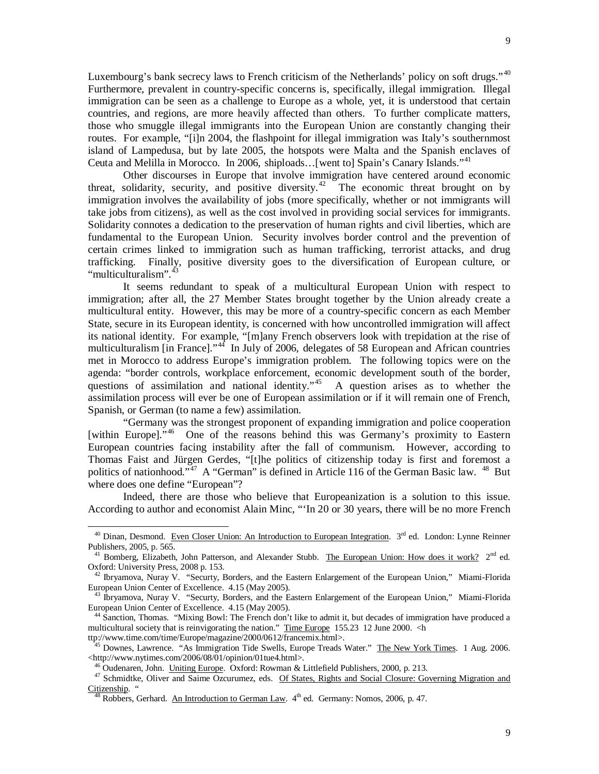Luxembourg's bank secrecy laws to French criticism of the Netherlands' policy on soft drugs."<sup>[40](#page-8-0)</sup> Furthermore, prevalent in country-specific concerns is, specifically, illegal immigration. Illegal immigration can be seen as a challenge to Europe as a whole, yet, it is understood that certain countries, and regions, are more heavily affected than others. To further complicate matters, those who smuggle illegal immigrants into the European Union are constantly changing their routes. For example, "[i]n 2004, the flashpoint for illegal immigration was Italy's southernmost island of Lampedusa, but by late 2005, the hotspots were Malta and the Spanish enclaves of Ceuta and Melilla in Morocco. In 2006, shiploads…[went to] Spain's Canary Islands."[41](#page-8-1)

Other discourses in Europe that involve immigration have centered around economic threat, solidarity, security, and positive diversity.<sup>42</sup> The economic threat brought on by immigration involves the availability of jobs (more specifically, whether or not immigrants will take jobs from citizens), as well as the cost involved in providing social services for immigrants. Solidarity connotes a dedication to the preservation of human rights and civil liberties, which are fundamental to the European Union. Security involves border control and the prevention of certain crimes linked to immigration such as human trafficking, terrorist attacks, and drug trafficking. Finally, positive diversity goes to the diversification of European culture, or "multiculturalism".<sup>[43](#page-8-3)</sup>

It seems redundant to speak of a multicultural European Union with respect to immigration; after all, the 27 Member States brought together by the Union already create a multicultural entity. However, this may be more of a country-specific concern as each Member State, secure in its European identity, is concerned with how uncontrolled immigration will affect its national identity. For example, "[m]any French observers look with trepidation at the rise of multiculturalism [in France]."<sup>44</sup> In July of 2006, delegates of 58 European and African countries met in Morocco to address Europe's immigration problem. The following topics were on the agenda: "border controls, workplace enforcement, economic development south of the border, questions of assimilation and national identity."<sup>[45](#page-8-5)</sup> A question arises as to whether the assimilation process will ever be one of European assimilation or if it will remain one of French, Spanish, or German (to name a few) assimilation.

"Germany was the strongest proponent of expanding immigration and police cooperation [within Europe]."<sup>[46](#page-8-6)</sup> One of the reasons behind this was Germany's proximity to Eastern European countries facing instability after the fall of communism. However, according to Thomas Faist and Jürgen Gerdes, "[t]he politics of citizenship today is first and foremost a politics of nationhood."<sup>[47](#page-8-7)</sup> A "German" is defined in Article 116 of the German Basic law. <sup>[48](#page-8-8)</sup> But where does one define "European"?

Indeed, there are those who believe that Europeanization is a solution to this issue. According to author and economist Alain Minc, "'In 20 or 30 years, there will be no more French

<span id="page-8-5"></span><http://www.nytimes.com/2006/08/01/opinion/01tue4.html>.

<span id="page-8-0"></span> $^{40}$  Dinan, Desmond. Even Closer Union: An Introduction to European Integration.  $3<sup>rd</sup>$  ed. London: Lynne Reinner Publishers, 2005, p. 565.

<span id="page-8-1"></span><sup>&</sup>lt;sup>41</sup> Bomberg, Elizabeth, John Patterson, and Alexander Stubb. The European Union: How does it work?  $2^{nd}$  ed. Oxford: University Press, 2008 p. 153.

<span id="page-8-2"></span> $42$  Ibryamova, Nuray V. "Securty, Borders, and the Eastern Enlargement of the European Union," Miami-Florida European Union Center of Excellence. 4.15 (May 2005).

<span id="page-8-3"></span><sup>&</sup>lt;sup>43</sup> Ibryamova, Nuray V. "Securty, Borders, and the Eastern Enlargement of the European Union," Miami-Florida European Union Center of Excellence. 4.15 (May 2005).

<span id="page-8-4"></span><sup>&</sup>lt;sup>44</sup> Sanction, Thomas. "Mixing Bowl: The French don't like to admit it, but decades of immigration have produced a multicultural society that is reinvigorating the nation." Time Europe 155.23 12 June 2000. <h ttp://www.time.com/time/Europe/magazine/2000/0612/francemix.html>.

<sup>&</sup>lt;sup>45</sup> Downes, Lawrence. "As Immigration Tide Swells, Europe Treads Water." The New York Times. 1 Aug. 2006.

 $6\overline{)}$ Oudenaren, John. Uniting Europe. Oxford: Rowman & Littlefield Publishers, 2000, p. 213.

<span id="page-8-8"></span><span id="page-8-7"></span><span id="page-8-6"></span><sup>47</sup> Schmidtke, Oliver and Saime Ozcurumez, eds. Of States, Rights and Social Closure: Governing Migration and Citizenship. '

 $8 \overline{\text{Robbers}}$ , Gerhard. An Introduction to German Law.  $4^{\text{th}}$  ed. Germany: Nomos, 2006, p. 47.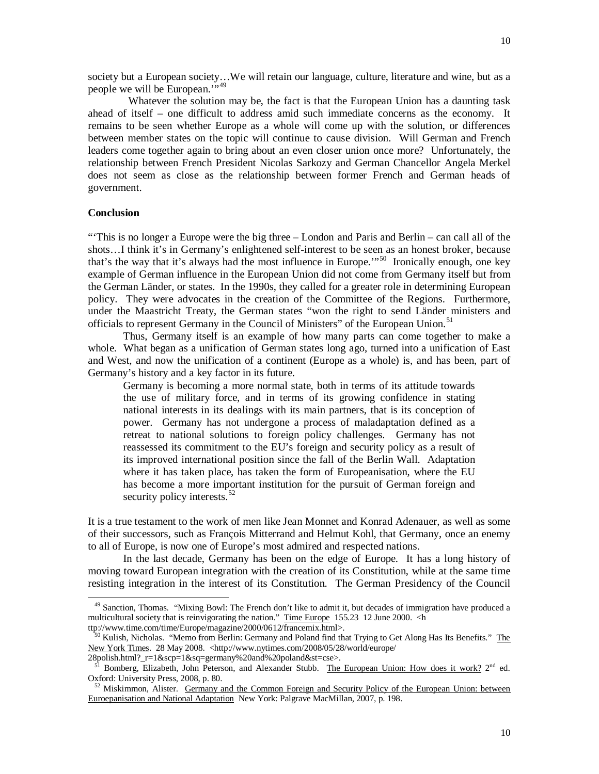society but a European society…We will retain our language, culture, literature and wine, but as a people we will be European.",[49](#page-9-0)

 Whatever the solution may be, the fact is that the European Union has a daunting task ahead of itself – one difficult to address amid such immediate concerns as the economy. It remains to be seen whether Europe as a whole will come up with the solution, or differences between member states on the topic will continue to cause division. Will German and French leaders come together again to bring about an even closer union once more? Unfortunately, the relationship between French President Nicolas Sarkozy and German Chancellor Angela Merkel does not seem as close as the relationship between former French and German heads of government.

## **Conclusion**

 $\overline{a}$ 

"'This is no longer a Europe were the big three – London and Paris and Berlin – can call all of the shots…I think it's in Germany's enlightened self-interest to be seen as an honest broker, because that's the way that it's always had the most influence in Europe.'"[50](#page-9-1) Ironically enough, one key example of German influence in the European Union did not come from Germany itself but from the German Länder, or states. In the 1990s, they called for a greater role in determining European policy. They were advocates in the creation of the Committee of the Regions. Furthermore, under the Maastricht Treaty, the German states "won the right to send Länder ministers and officials to represent Germany in the Council of Ministers" of the European Union.<sup>[51](#page-9-2)</sup>

Thus, Germany itself is an example of how many parts can come together to make a whole. What began as a unification of German states long ago, turned into a unification of East and West, and now the unification of a continent (Europe as a whole) is, and has been, part of Germany's history and a key factor in its future.

Germany is becoming a more normal state, both in terms of its attitude towards the use of military force, and in terms of its growing confidence in stating national interests in its dealings with its main partners, that is its conception of power. Germany has not undergone a process of maladaptation defined as a retreat to national solutions to foreign policy challenges. Germany has not reassessed its commitment to the EU's foreign and security policy as a result of its improved international position since the fall of the Berlin Wall. Adaptation where it has taken place, has taken the form of Europeanisation, where the EU has become a more important institution for the pursuit of German foreign and security policy interests.<sup>[52](#page-9-3)</sup>

It is a true testament to the work of men like Jean Monnet and Konrad Adenauer, as well as some of their successors, such as François Mitterrand and Helmut Kohl, that Germany, once an enemy to all of Europe, is now one of Europe's most admired and respected nations.

In the last decade, Germany has been on the edge of Europe. It has a long history of moving toward European integration with the creation of its Constitution, while at the same time resisting integration in the interest of its Constitution. The German Presidency of the Council

<span id="page-9-0"></span><sup>&</sup>lt;sup>49</sup> Sanction, Thomas. "Mixing Bowl: The French don't like to admit it, but decades of immigration have produced a multicultural society that is reinvigorating the nation." Time Europe 155.23 12 June 2000. <h ttp://www.time.com/time/Europe/magazine/2000/0612/francemix.html>.

<span id="page-9-1"></span><sup>&</sup>lt;sup>50</sup> Kulish, Nicholas. "Memo from Berlin: Germany and Poland find that Trying to Get Along Has Its Benefits." The New York Times. 28 May 2008. <http://www.nytimes.com/2008/05/28/world/europe/ 28polish.html?\_r=1&scp=1&sq=germany%20and%20poland&st=cse>.

<span id="page-9-2"></span><sup>51</sup> Bomberg, Elizabeth, John Peterson, and Alexander Stubb. The European Union: How does it work? 2nd ed. Oxford: University Press, 2008, p. 80.

<span id="page-9-3"></span> $52$  Miskimmon, Alister. Germany and the Common Foreign and Security Policy of the European Union: between Euroepanisation and National Adaptation New York: Palgrave MacMillan, 2007, p. 198.